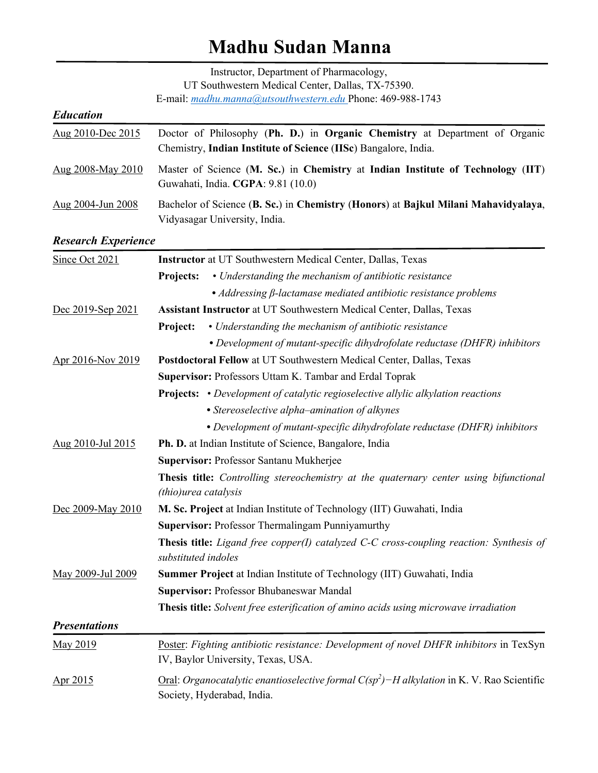# **Madhu Sudan Manna**

|                            | Instructor, Department of Pharmacology,                                                                                                            |
|----------------------------|----------------------------------------------------------------------------------------------------------------------------------------------------|
|                            | UT Southwestern Medical Center, Dallas, TX-75390.<br>E-mail: madhu.manna@utsouthwestern.edu Phone: 469-988-1743                                    |
| <b>Education</b>           |                                                                                                                                                    |
| Aug 2010-Dec 2015          | Doctor of Philosophy (Ph. D.) in Organic Chemistry at Department of Organic<br>Chemistry, Indian Institute of Science (IISc) Bangalore, India.     |
| Aug 2008-May 2010          | Master of Science (M. Sc.) in Chemistry at Indian Institute of Technology (IIT)<br>Guwahati, India. CGPA: 9.81 (10.0)                              |
| Aug 2004-Jun 2008          | Bachelor of Science (B. Sc.) in Chemistry (Honors) at Bajkul Milani Mahavidyalaya,<br>Vidyasagar University, India.                                |
| <b>Research Experience</b> |                                                                                                                                                    |
| Since Oct 2021             | Instructor at UT Southwestern Medical Center, Dallas, Texas                                                                                        |
|                            | • Understanding the mechanism of antibiotic resistance<br><b>Projects:</b>                                                                         |
|                            | • Addressing $\beta$ -lactamase mediated antibiotic resistance problems                                                                            |
| Dec 2019-Sep 2021          | Assistant Instructor at UT Southwestern Medical Center, Dallas, Texas                                                                              |
|                            | • Understanding the mechanism of antibiotic resistance<br>Project:                                                                                 |
|                            | • Development of mutant-specific dihydrofolate reductase (DHFR) inhibitors                                                                         |
| Apr 2016-Nov 2019          | Postdoctoral Fellow at UT Southwestern Medical Center, Dallas, Texas                                                                               |
|                            | Supervisor: Professors Uttam K. Tambar and Erdal Toprak                                                                                            |
|                            | <b>Projects:</b> • Development of catalytic regioselective allylic alkylation reactions                                                            |
|                            | • Stereoselective alpha–amination of alkynes                                                                                                       |
|                            | • Development of mutant-specific dihydrofolate reductase (DHFR) inhibitors                                                                         |
| Aug 2010-Jul 2015          | Ph. D. at Indian Institute of Science, Bangalore, India                                                                                            |
|                            | Supervisor: Professor Santanu Mukherjee                                                                                                            |
|                            | Thesis title: Controlling stereochemistry at the quaternary center using bifunctional                                                              |
|                            | <i>(thio)urea catalysis</i>                                                                                                                        |
| Dec 2009-May 2010          | M. Sc. Project at Indian Institute of Technology (IIT) Guwahati, India                                                                             |
|                            | <b>Supervisor: Professor Thermalingam Punniyamurthy</b>                                                                                            |
|                            | Thesis title: Ligand free copper(I) catalyzed C-C cross-coupling reaction: Synthesis of<br>substituted indoles                                     |
| May 2009-Jul 2009          | Summer Project at Indian Institute of Technology (IIT) Guwahati, India                                                                             |
|                            | Supervisor: Professor Bhubaneswar Mandal                                                                                                           |
|                            | Thesis title: Solvent free esterification of amino acids using microwave irradiation                                                               |
| <b>Presentations</b>       |                                                                                                                                                    |
| May 2019                   | Poster: Fighting antibiotic resistance: Development of novel DHFR inhibitors in TexSyn<br>IV, Baylor University, Texas, USA.                       |
| Apr 2015                   | <u>Oral</u> : <i>Organocatalytic enantioselective formal</i> $C(sp^2)$ – <i>H</i> alkylation in K. V. Rao Scientific<br>Society, Hyderabad, India. |